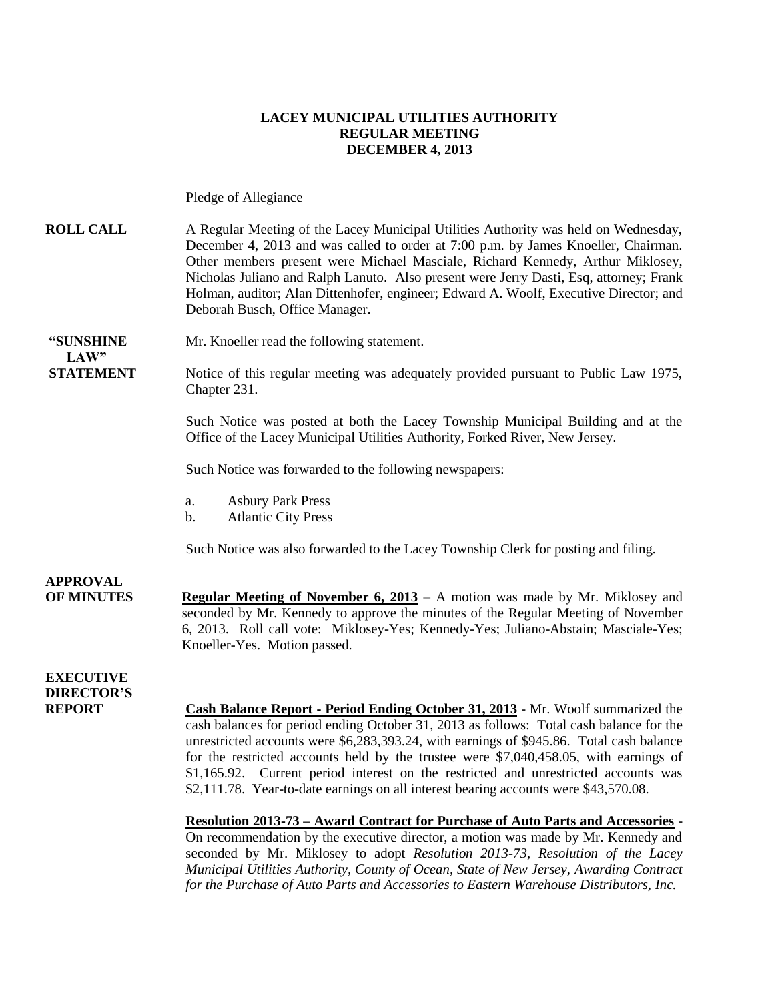### **LACEY MUNICIPAL UTILITIES AUTHORITY REGULAR MEETING DECEMBER 4, 2013**

Pledge of Allegiance

#### **ROLL CALL** A Regular Meeting of the Lacey Municipal Utilities Authority was held on Wednesday, December 4, 2013 and was called to order at 7:00 p.m. by James Knoeller, Chairman. Other members present were Michael Masciale, Richard Kennedy, Arthur Miklosey, Nicholas Juliano and Ralph Lanuto. Also present were Jerry Dasti, Esq, attorney; Frank Holman, auditor; Alan Dittenhofer, engineer; Edward A. Woolf, Executive Director; and Deborah Busch, Office Manager.

**"SUNSHINE** Mr. Knoeller read the following statement.

**STATEMENT** Notice of this regular meeting was adequately provided pursuant to Public Law 1975, Chapter 231.

> Such Notice was posted at both the Lacey Township Municipal Building and at the Office of the Lacey Municipal Utilities Authority, Forked River, New Jersey.

Such Notice was forwarded to the following newspapers:

- a. Asbury Park Press
- b. Atlantic City Press

Such Notice was also forwarded to the Lacey Township Clerk for posting and filing.

**APPROVAL OF MINUTES Regular Meeting of November 6, 2013** – A motion was made by Mr. Miklosey and seconded by Mr. Kennedy to approve the minutes of the Regular Meeting of November 6, 2013. Roll call vote: Miklosey-Yes; Kennedy-Yes; Juliano-Abstain; Masciale-Yes; Knoeller-Yes. Motion passed.

**EXECUTIVE DIRECTOR'S**

 $LAW"$ 

**REPORT Cash Balance Report - Period Ending October 31, 2013** - Mr. Woolf summarized the cash balances for period ending October 31, 2013 as follows: Total cash balance for the unrestricted accounts were \$6,283,393.24, with earnings of \$945.86. Total cash balance for the restricted accounts held by the trustee were \$7,040,458.05, with earnings of \$1,165.92. Current period interest on the restricted and unrestricted accounts was \$2,111.78. Year-to-date earnings on all interest bearing accounts were \$43,570.08.

> **Resolution 2013-73 – Award Contract for Purchase of Auto Parts and Accessories** - On recommendation by the executive director, a motion was made by Mr. Kennedy and seconded by Mr. Miklosey to adopt *Resolution 2013-73, Resolution of the Lacey Municipal Utilities Authority, County of Ocean, State of New Jersey, Awarding Contract for the Purchase of Auto Parts and Accessories to Eastern Warehouse Distributors, Inc.*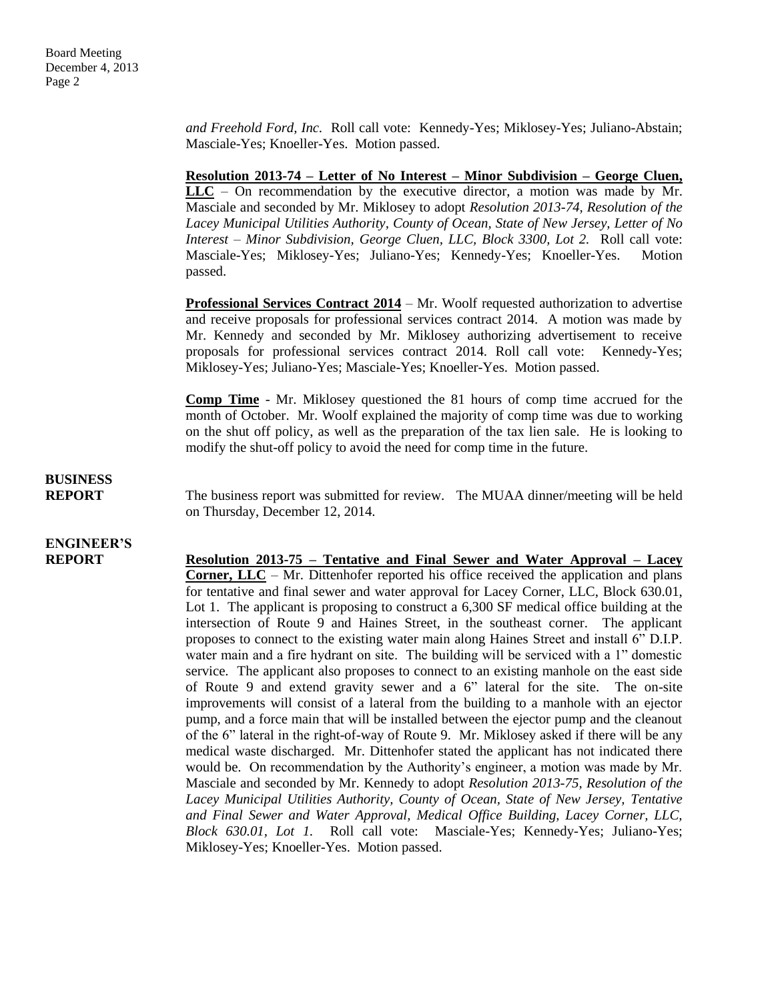*and Freehold Ford, Inc.* Roll call vote: Kennedy-Yes; Miklosey-Yes; Juliano-Abstain; Masciale-Yes; Knoeller-Yes. Motion passed.

**Resolution 2013-74 – Letter of No Interest – Minor Subdivision – George Cluen, LLC** – On recommendation by the executive director, a motion was made by Mr. Masciale and seconded by Mr. Miklosey to adopt *Resolution 2013-74, Resolution of the Lacey Municipal Utilities Authority, County of Ocean, State of New Jersey, Letter of No Interest – Minor Subdivision, George Cluen, LLC, Block 3300, Lot 2.* Roll call vote: Masciale-Yes; Miklosey-Yes; Juliano-Yes; Kennedy-Yes; Knoeller-Yes. Motion passed.

**Professional Services Contract 2014** – Mr. Woolf requested authorization to advertise and receive proposals for professional services contract 2014. A motion was made by Mr. Kennedy and seconded by Mr. Miklosey authorizing advertisement to receive proposals for professional services contract 2014. Roll call vote: Kennedy-Yes; Miklosey-Yes; Juliano-Yes; Masciale-Yes; Knoeller-Yes. Motion passed.

**Comp Time** - Mr. Miklosey questioned the 81 hours of comp time accrued for the month of October. Mr. Woolf explained the majority of comp time was due to working on the shut off policy, as well as the preparation of the tax lien sale. He is looking to modify the shut-off policy to avoid the need for comp time in the future.

**BUSINESS**

**REPORT** The business report was submitted for review. The MUAA dinner/meeting will be held on Thursday, December 12, 2014.

# **ENGINEER'S**

**REPORT Resolution 2013-75 – Tentative and Final Sewer and Water Approval – Lacey Corner, LLC** – Mr. Dittenhofer reported his office received the application and plans for tentative and final sewer and water approval for Lacey Corner, LLC, Block 630.01, Lot 1. The applicant is proposing to construct a 6,300 SF medical office building at the intersection of Route 9 and Haines Street, in the southeast corner. The applicant proposes to connect to the existing water main along Haines Street and install 6" D.I.P. water main and a fire hydrant on site. The building will be serviced with a 1" domestic service. The applicant also proposes to connect to an existing manhole on the east side of Route 9 and extend gravity sewer and a 6" lateral for the site. The on-site improvements will consist of a lateral from the building to a manhole with an ejector pump, and a force main that will be installed between the ejector pump and the cleanout of the 6" lateral in the right-of-way of Route 9. Mr. Miklosey asked if there will be any medical waste discharged. Mr. Dittenhofer stated the applicant has not indicated there would be. On recommendation by the Authority's engineer, a motion was made by Mr. Masciale and seconded by Mr. Kennedy to adopt *Resolution 2013-75, Resolution of the Lacey Municipal Utilities Authority, County of Ocean, State of New Jersey, Tentative and Final Sewer and Water Approval, Medical Office Building, Lacey Corner, LLC, Block 630.01, Lot 1.* Roll call vote: Masciale-Yes; Kennedy-Yes; Juliano-Yes; Miklosey-Yes; Knoeller-Yes. Motion passed.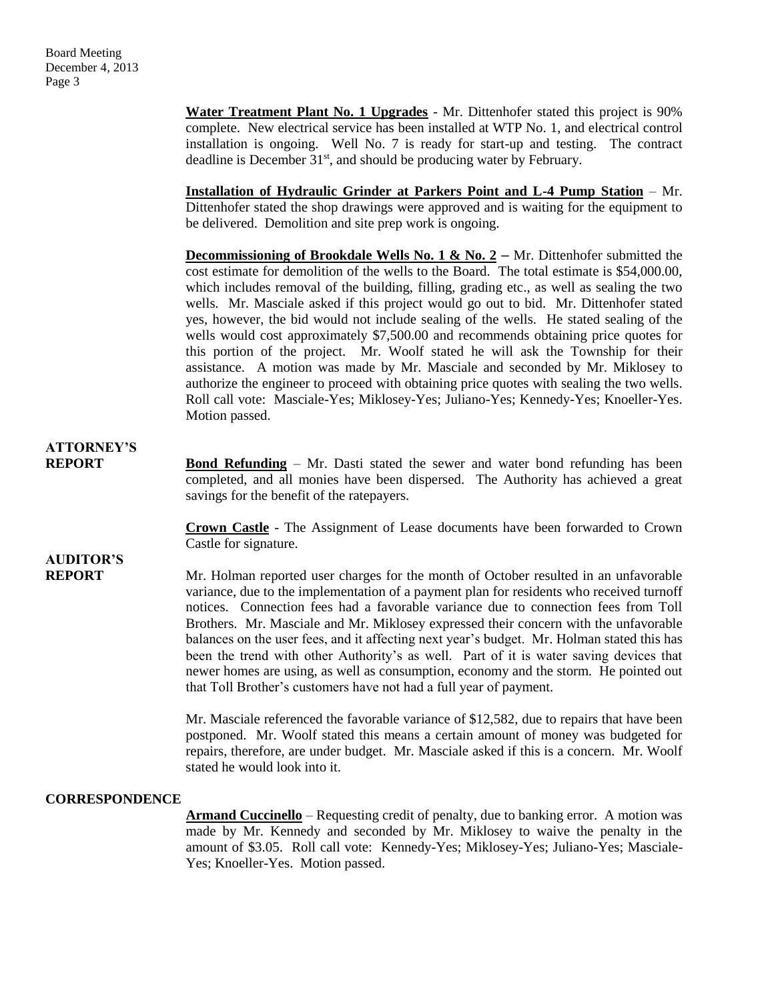**Water Treatment Plant No. 1 Upgrades** - Mr. Dittenhofer stated this project is 90% complete. New electrical service has been installed at WTP No. 1, and electrical control installation is ongoing. Well No. 7 is ready for start-up and testing. The contract deadline is December  $31<sup>st</sup>$ , and should be producing water by February.

**Installation of Hydraulic Grinder at Parkers Point and L-4 Pump Station** – Mr. Dittenhofer stated the shop drawings were approved and is waiting for the equipment to be delivered. Demolition and site prep work is ongoing.

**Decommissioning of Brookdale Wells No. 1 & No. 2 – Mr.** Dittenhofer submitted the cost estimate for demolition of the wells to the Board. The total estimate is \$54,000.00, which includes removal of the building, filling, grading etc., as well as sealing the two wells. Mr. Masciale asked if this project would go out to bid. Mr. Dittenhofer stated yes, however, the bid would not include sealing of the wells. He stated sealing of the wells would cost approximately \$7,500.00 and recommends obtaining price quotes for this portion of the project. Mr. Woolf stated he will ask the Township for their assistance. A motion was made by Mr. Masciale and seconded by Mr. Miklosey to authorize the engineer to proceed with obtaining price quotes with sealing the two wells. Roll call vote: Masciale-Yes; Miklosey-Yes; Juliano-Yes; Kennedy-Yes; Knoeller-Yes. Motion passed.

### **ATTORNEY'S**

**REPORT Bond Refunding** – Mr. Dasti stated the sewer and water bond refunding has been completed, and all monies have been dispersed. The Authority has achieved a great savings for the benefit of the ratepayers.

> **Crown Castle** - The Assignment of Lease documents have been forwarded to Crown Castle for signature.

## **AUDITOR'S**

**REPORT** Mr. Holman reported user charges for the month of October resulted in an unfavorable variance, due to the implementation of a payment plan for residents who received turnoff notices. Connection fees had a favorable variance due to connection fees from Toll Brothers. Mr. Masciale and Mr. Miklosey expressed their concern with the unfavorable balances on the user fees, and it affecting next year's budget. Mr. Holman stated this has been the trend with other Authority's as well. Part of it is water saving devices that newer homes are using, as well as consumption, economy and the storm. He pointed out that Toll Brother's customers have not had a full year of payment.

> Mr. Masciale referenced the favorable variance of \$12,582, due to repairs that have been postponed. Mr. Woolf stated this means a certain amount of money was budgeted for repairs, therefore, are under budget. Mr. Masciale asked if this is a concern. Mr. Woolf stated he would look into it.

#### **CORRESPONDENCE**

**Armand Cuccinello** – Requesting credit of penalty, due to banking error. A motion was made by Mr. Kennedy and seconded by Mr. Miklosey to waive the penalty in the amount of \$3.05. Roll call vote: Kennedy-Yes; Miklosey-Yes; Juliano-Yes; Masciale-Yes; Knoeller-Yes. Motion passed.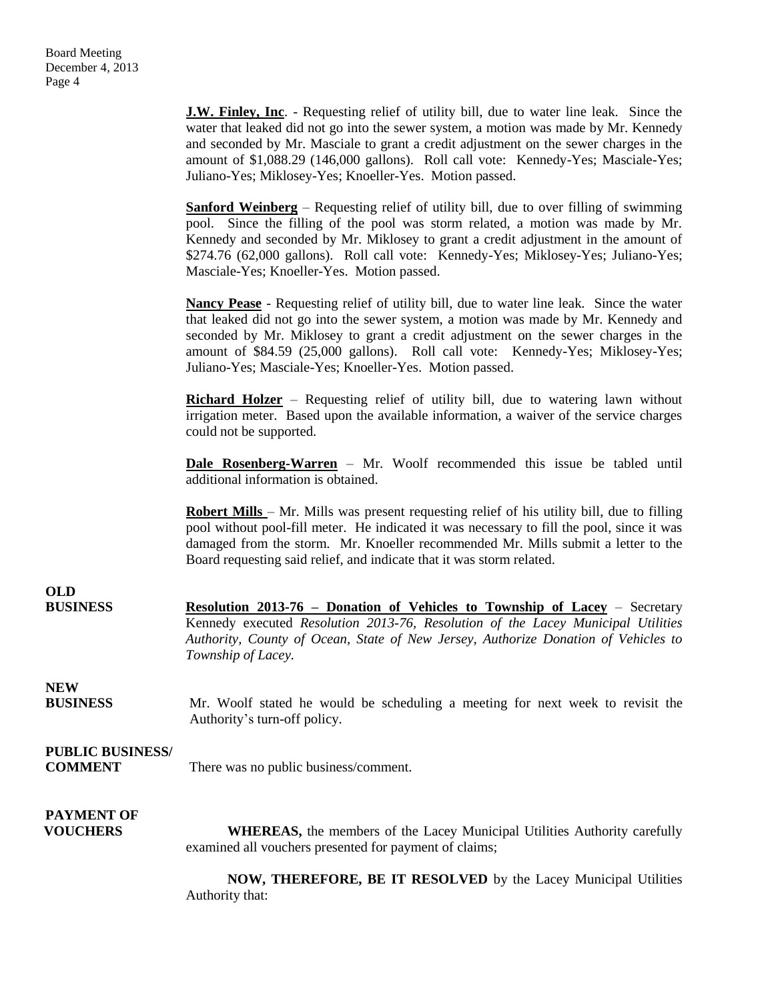**J.W. Finley, Inc**. - Requesting relief of utility bill, due to water line leak. Since the water that leaked did not go into the sewer system, a motion was made by Mr. Kennedy and seconded by Mr. Masciale to grant a credit adjustment on the sewer charges in the amount of \$1,088.29 (146,000 gallons). Roll call vote: Kennedy-Yes; Masciale-Yes; Juliano-Yes; Miklosey-Yes; Knoeller-Yes. Motion passed. **Sanford Weinberg** – Requesting relief of utility bill, due to over filling of swimming pool. Since the filling of the pool was storm related, a motion was made by Mr. Kennedy and seconded by Mr. Miklosey to grant a credit adjustment in the amount of \$274.76 (62,000 gallons). Roll call vote: Kennedy-Yes; Miklosey-Yes; Juliano-Yes; Masciale-Yes; Knoeller-Yes. Motion passed. **Nancy Pease** - Requesting relief of utility bill, due to water line leak. Since the water that leaked did not go into the sewer system, a motion was made by Mr. Kennedy and seconded by Mr. Miklosey to grant a credit adjustment on the sewer charges in the amount of \$84.59 (25,000 gallons). Roll call vote: Kennedy-Yes; Miklosey-Yes; Juliano-Yes; Masciale-Yes; Knoeller-Yes. Motion passed. **Richard Holzer** – Requesting relief of utility bill, due to watering lawn without irrigation meter. Based upon the available information, a waiver of the service charges could not be supported. **Dale Rosenberg-Warren** – Mr. Woolf recommended this issue be tabled until additional information is obtained. **Robert Mills** – Mr. Mills was present requesting relief of his utility bill, due to filling pool without pool-fill meter. He indicated it was necessary to fill the pool, since it was damaged from the storm. Mr. Knoeller recommended Mr. Mills submit a letter to the Board requesting said relief, and indicate that it was storm related. **OLD BUSINESS Resolution 2013-76 – Donation of Vehicles to Township of Lacey** – Secretary Kennedy executed *Resolution 2013-76, Resolution of the Lacey Municipal Utilities Authority, County of Ocean, State of New Jersey, Authorize Donation of Vehicles to Township of Lacey.*  **NEW BUSINESS** Mr. Woolf stated he would be scheduling a meeting for next week to revisit the Authority's turn-off policy. **PUBLIC BUSINESS/ COMMENT** There was no public business/comment. **PAYMENT OF VOUCHERS** WHEREAS, the members of the Lacey Municipal Utilities Authority carefully examined all vouchers presented for payment of claims;

> **NOW, THEREFORE, BE IT RESOLVED** by the Lacey Municipal Utilities Authority that: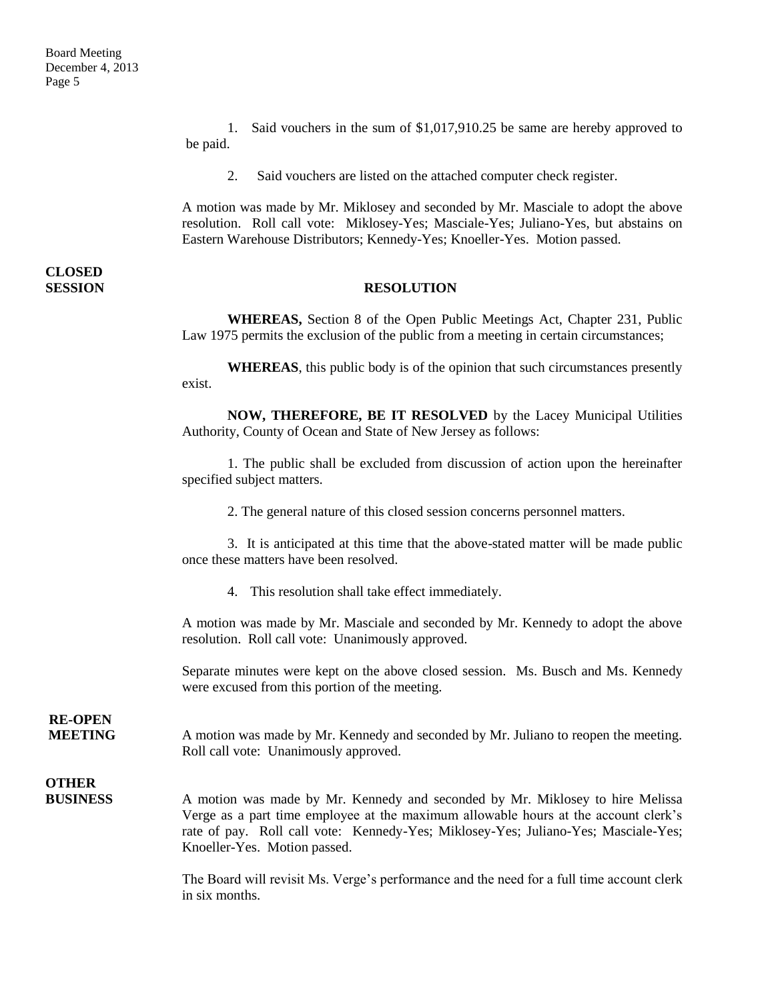**CLOSED** 

1. Said vouchers in the sum of \$1,017,910.25 be same are hereby approved to be paid.

2. Said vouchers are listed on the attached computer check register.

A motion was made by Mr. Miklosey and seconded by Mr. Masciale to adopt the above resolution. Roll call vote: Miklosey-Yes; Masciale-Yes; Juliano-Yes, but abstains on Eastern Warehouse Distributors; Kennedy-Yes; Knoeller-Yes. Motion passed.

#### **SESSION RESOLUTION**

**WHEREAS,** Section 8 of the Open Public Meetings Act, Chapter 231, Public Law 1975 permits the exclusion of the public from a meeting in certain circumstances;

**WHEREAS**, this public body is of the opinion that such circumstances presently exist.

**NOW, THEREFORE, BE IT RESOLVED** by the Lacey Municipal Utilities Authority, County of Ocean and State of New Jersey as follows:

1. The public shall be excluded from discussion of action upon the hereinafter specified subject matters.

2. The general nature of this closed session concerns personnel matters.

3. It is anticipated at this time that the above-stated matter will be made public once these matters have been resolved.

4. This resolution shall take effect immediately.

A motion was made by Mr. Masciale and seconded by Mr. Kennedy to adopt the above resolution. Roll call vote: Unanimously approved.

Separate minutes were kept on the above closed session. Ms. Busch and Ms. Kennedy were excused from this portion of the meeting.

**RE-OPEN**

**MEETING** A motion was made by Mr. Kennedy and seconded by Mr. Juliano to reopen the meeting. Roll call vote: Unanimously approved.

### **OTHER**

**BUSINESS** A motion was made by Mr. Kennedy and seconded by Mr. Miklosey to hire Melissa Verge as a part time employee at the maximum allowable hours at the account clerk's rate of pay. Roll call vote: Kennedy-Yes; Miklosey-Yes; Juliano-Yes; Masciale-Yes; Knoeller-Yes. Motion passed.

> The Board will revisit Ms. Verge's performance and the need for a full time account clerk in six months.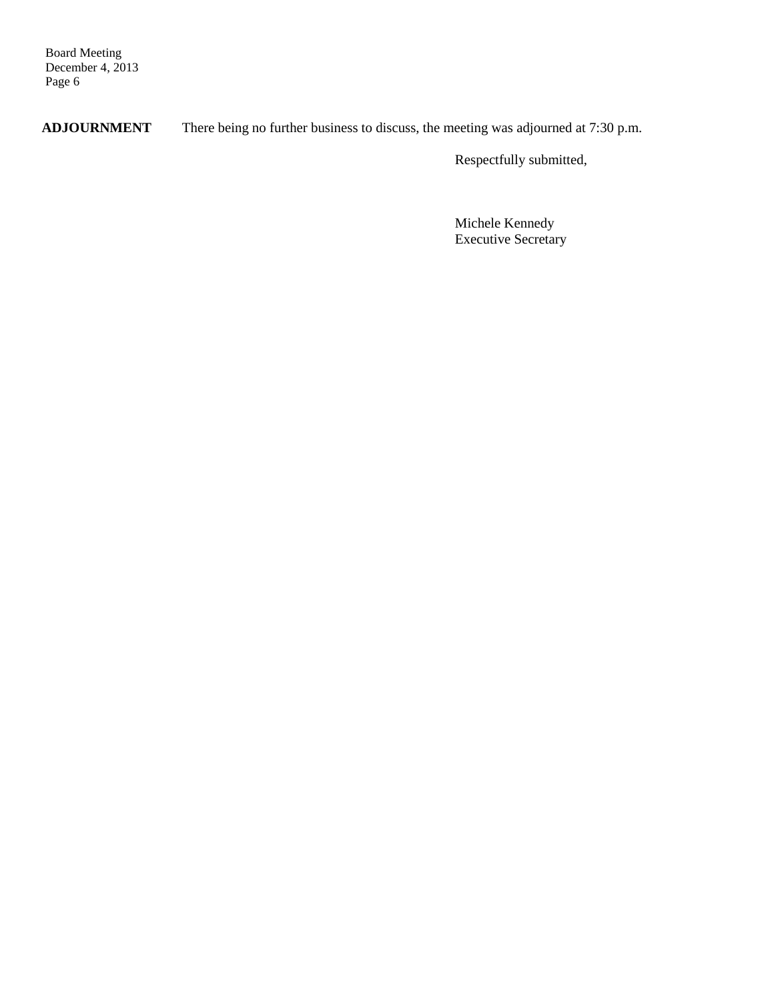Board Meeting December 4, 2013 Page 6

**ADJOURNMENT** There being no further business to discuss, the meeting was adjourned at 7:30 p.m.

Respectfully submitted,

Michele Kennedy Executive Secretary